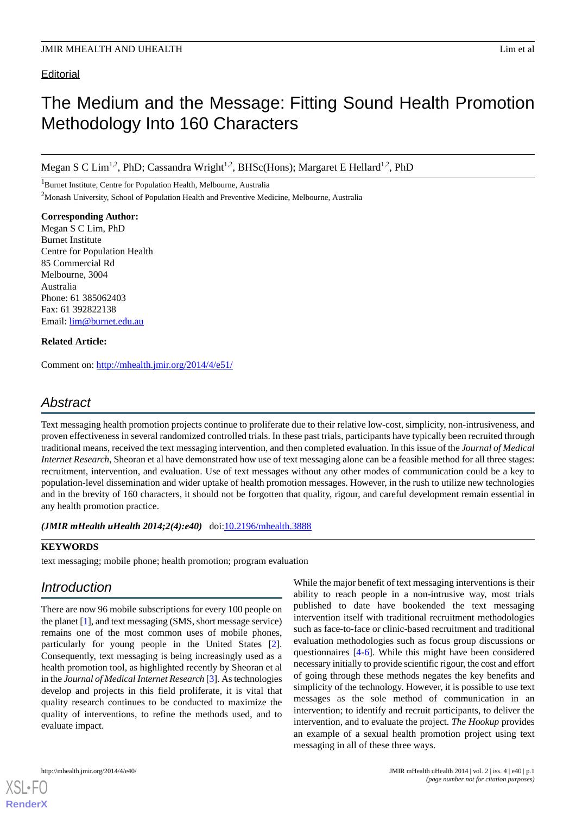### **Editorial**

# The Medium and the Message: Fitting Sound Health Promotion Methodology Into 160 Characters

Megan S C Lim<sup>1,2</sup>, PhD; Cassandra Wright<sup>1,2</sup>, BHSc(Hons); Margaret E Hellard<sup>1,2</sup>, PhD

<sup>1</sup>Burnet Institute, Centre for Population Health, Melbourne, Australia <sup>2</sup>Monash University, School of Population Health and Preventive Medicine, Melbourne, Australia

**Corresponding Author:** Megan S C Lim, PhD Burnet Institute Centre for Population Health 85 Commercial Rd Melbourne, 3004 Australia Phone: 61 385062403 Fax: 61 392822138 Email: [lim@burnet.edu.au](mailto:lim@burnet.edu.au)

### **Related Article:**

Comment on: <http://mhealth.jmir.org/2014/4/e51/>

# *Abstract*

Text messaging health promotion projects continue to proliferate due to their relative low-cost, simplicity, non-intrusiveness, and proven effectiveness in several randomized controlled trials. In these past trials, participants have typically been recruited through traditional means, received the text messaging intervention, and then completed evaluation. In this issue of the *Journal of Medical Internet Research*, Sheoran et al have demonstrated how use of text messaging alone can be a feasible method for all three stages: recruitment, intervention, and evaluation. Use of text messages without any other modes of communication could be a key to population-level dissemination and wider uptake of health promotion messages. However, in the rush to utilize new technologies and in the brevity of 160 characters, it should not be forgotten that quality, rigour, and careful development remain essential in any health promotion practice.

*(JMIR mHealth uHealth 2014;2(4):e40)* doi: $10.2196/m$ health.3888

### **KEYWORDS**

text messaging; mobile phone; health promotion; program evaluation

# *Introduction*

There are now 96 mobile subscriptions for every 100 people on the planet [\[1\]](#page-2-0), and text messaging (SMS, short message service) remains one of the most common uses of mobile phones, particularly for young people in the United States [[2\]](#page-2-1). Consequently, text messaging is being increasingly used as a health promotion tool, as highlighted recently by Sheoran et al in the *Journal of Medical Internet Research* [\[3](#page-2-2)]. As technologies develop and projects in this field proliferate, it is vital that quality research continues to be conducted to maximize the quality of interventions, to refine the methods used, and to evaluate impact.

While the major benefit of text messaging interventions is their ability to reach people in a non-intrusive way, most trials published to date have bookended the text messaging intervention itself with traditional recruitment methodologies such as face-to-face or clinic-based recruitment and traditional evaluation methodologies such as focus group discussions or questionnaires [\[4](#page-2-3)-[6\]](#page-2-4). While this might have been considered necessary initially to provide scientific rigour, the cost and effort of going through these methods negates the key benefits and simplicity of the technology. However, it is possible to use text messages as the sole method of communication in an intervention; to identify and recruit participants, to deliver the intervention, and to evaluate the project. *The Hookup* provides an example of a sexual health promotion project using text messaging in all of these three ways.



**[RenderX](http://www.renderx.com/)**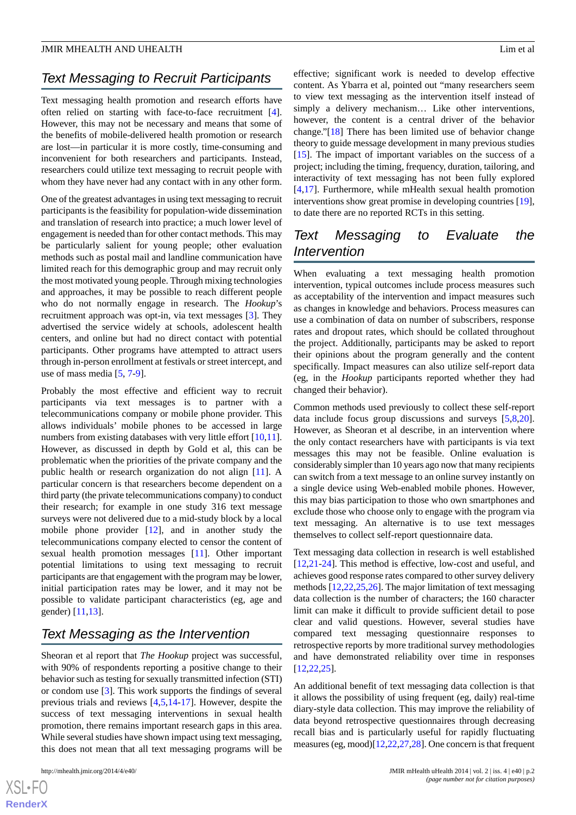#### JMIR MHEALTH AND UHEALTH Lim et al

# *Text Messaging to Recruit Participants*

Text messaging health promotion and research efforts have often relied on starting with face-to-face recruitment [[4\]](#page-2-3). However, this may not be necessary and means that some of the benefits of mobile-delivered health promotion or research are lost—in particular it is more costly, time-consuming and inconvenient for both researchers and participants. Instead, researchers could utilize text messaging to recruit people with whom they have never had any contact with in any other form.

One of the greatest advantages in using text messaging to recruit participants is the feasibility for population-wide dissemination and translation of research into practice; a much lower level of engagement is needed than for other contact methods. This may be particularly salient for young people; other evaluation methods such as postal mail and landline communication have limited reach for this demographic group and may recruit only the most motivated young people. Through mixing technologies and approaches, it may be possible to reach different people who do not normally engage in research. The *Hookup*'s recruitment approach was opt-in, via text messages [\[3](#page-2-2)]. They advertised the service widely at schools, adolescent health centers, and online but had no direct contact with potential participants. Other programs have attempted to attract users through in-person enrollment at festivals or street intercept, and use of mass media [[5,](#page-2-5) [7](#page-2-6)[-9](#page-2-7)].

Probably the most effective and efficient way to recruit participants via text messages is to partner with a telecommunications company or mobile phone provider. This allows individuals' mobile phones to be accessed in large numbers from existing databases with very little effort [\[10](#page-3-0),[11\]](#page-3-1). However, as discussed in depth by Gold et al, this can be problematic when the priorities of the private company and the public health or research organization do not align [\[11](#page-3-1)]. A particular concern is that researchers become dependent on a third party (the private telecommunications company) to conduct their research; for example in one study 316 text message surveys were not delivered due to a mid-study block by a local mobile phone provider [[12\]](#page-3-2), and in another study the telecommunications company elected to censor the content of sexual health promotion messages [\[11](#page-3-1)]. Other important potential limitations to using text messaging to recruit participants are that engagement with the program may be lower, initial participation rates may be lower, and it may not be possible to validate participant characteristics (eg, age and gender) [[11](#page-3-1)[,13](#page-3-3)].

### *Text Messaging as the Intervention*

Sheoran et al report that *The Hookup* project was successful, with 90% of respondents reporting a positive change to their behavior such as testing for sexually transmitted infection (STI) or condom use [\[3](#page-2-2)]. This work supports the findings of several previous trials and reviews [[4,](#page-2-3)[5](#page-2-5),[14-](#page-3-4)[17\]](#page-3-5). However, despite the success of text messaging interventions in sexual health promotion, there remains important research gaps in this area. While several studies have shown impact using text messaging, this does not mean that all text messaging programs will be

effective; significant work is needed to develop effective content. As Ybarra et al, pointed out "many researchers seem to view text messaging as the intervention itself instead of simply a delivery mechanism… Like other interventions, however, the content is a central driver of the behavior change."[[18\]](#page-3-6) There has been limited use of behavior change theory to guide message development in many previous studies [[15\]](#page-3-7). The impact of important variables on the success of a project; including the timing, frequency, duration, tailoring, and interactivity of text messaging has not been fully explored [[4](#page-2-3)[,17](#page-3-5)]. Furthermore, while mHealth sexual health promotion interventions show great promise in developing countries [[19\]](#page-3-8), to date there are no reported RCTs in this setting.

## *Text Messaging to Evaluate the Intervention*

When evaluating a text messaging health promotion intervention, typical outcomes include process measures such as acceptability of the intervention and impact measures such as changes in knowledge and behaviors. Process measures can use a combination of data on number of subscribers, response rates and dropout rates, which should be collated throughout the project. Additionally, participants may be asked to report their opinions about the program generally and the content specifically. Impact measures can also utilize self-report data (eg, in the *Hookup* participants reported whether they had changed their behavior).

Common methods used previously to collect these self-report data include focus group discussions and surveys [[5](#page-2-5)[,8](#page-2-8),[20\]](#page-3-9). However, as Sheoran et al describe, in an intervention where the only contact researchers have with participants is via text messages this may not be feasible. Online evaluation is considerably simpler than 10 years ago now that many recipients can switch from a text message to an online survey instantly on a single device using Web-enabled mobile phones. However, this may bias participation to those who own smartphones and exclude those who choose only to engage with the program via text messaging. An alternative is to use text messages themselves to collect self-report questionnaire data.

Text messaging data collection in research is well established [[12,](#page-3-2)[21-](#page-3-10)[24\]](#page-3-11). This method is effective, low-cost and useful, and achieves good response rates compared to other survey delivery methods [\[12](#page-3-2),[22,](#page-3-12)[25](#page-3-13),[26\]](#page-3-14). The major limitation of text messaging data collection is the number of characters; the 160 character limit can make it difficult to provide sufficient detail to pose clear and valid questions. However, several studies have compared text messaging questionnaire responses to retrospective reports by more traditional survey methodologies and have demonstrated reliability over time in responses [[12,](#page-3-2)[22,](#page-3-12)[25\]](#page-3-13).

An additional benefit of text messaging data collection is that it allows the possibility of using frequent (eg, daily) real-time diary-style data collection. This may improve the reliability of data beyond retrospective questionnaires through decreasing recall bias and is particularly useful for rapidly fluctuating measures (eg, mood)[\[12](#page-3-2),[22,](#page-3-12)[27](#page-3-15)[,28](#page-3-16)]. One concern is that frequent

 $XS$ -FO **[RenderX](http://www.renderx.com/)**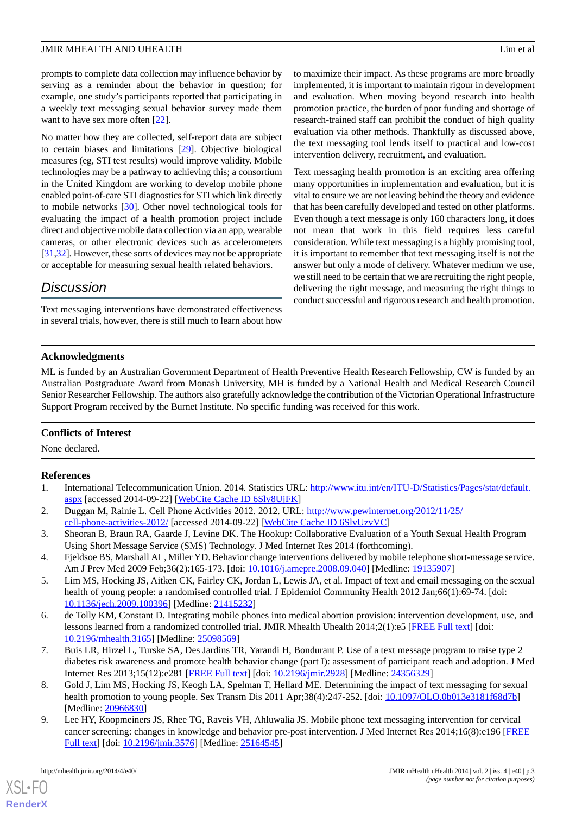#### JMIR MHEALTH AND UHEALTH Lim et al

prompts to complete data collection may influence behavior by serving as a reminder about the behavior in question; for example, one study's participants reported that participating in a weekly text messaging sexual behavior survey made them want to have sex more often [[22\]](#page-3-12).

No matter how they are collected, self-report data are subject to certain biases and limitations [\[29](#page-3-17)]. Objective biological measures (eg, STI test results) would improve validity. Mobile technologies may be a pathway to achieving this; a consortium in the United Kingdom are working to develop mobile phone enabled point-of-care STI diagnostics for STI which link directly to mobile networks [\[30](#page-3-18)]. Other novel technological tools for evaluating the impact of a health promotion project include direct and objective mobile data collection via an app, wearable cameras, or other electronic devices such as accelerometers [[31](#page-4-0)[,32](#page-4-1)]. However, these sorts of devices may not be appropriate or acceptable for measuring sexual health related behaviors.

### *Discussion*

Text messaging interventions have demonstrated effectiveness in several trials, however, there is still much to learn about how

to maximize their impact. As these programs are more broadly implemented, it is important to maintain rigour in development and evaluation. When moving beyond research into health promotion practice, the burden of poor funding and shortage of research-trained staff can prohibit the conduct of high quality evaluation via other methods. Thankfully as discussed above, the text messaging tool lends itself to practical and low-cost intervention delivery, recruitment, and evaluation.

Text messaging health promotion is an exciting area offering many opportunities in implementation and evaluation, but it is vital to ensure we are not leaving behind the theory and evidence that has been carefully developed and tested on other platforms. Even though a text message is only 160 characters long, it does not mean that work in this field requires less careful consideration. While text messaging is a highly promising tool, it is important to remember that text messaging itself is not the answer but only a mode of delivery. Whatever medium we use, we still need to be certain that we are recruiting the right people, delivering the right message, and measuring the right things to conduct successful and rigorous research and health promotion.

### **Acknowledgments**

ML is funded by an Australian Government Department of Health Preventive Health Research Fellowship, CW is funded by an Australian Postgraduate Award from Monash University, MH is funded by a National Health and Medical Research Council Senior Researcher Fellowship. The authors also gratefully acknowledge the contribution of the Victorian Operational Infrastructure Support Program received by the Burnet Institute. No specific funding was received for this work.

### <span id="page-2-0"></span>**Conflicts of Interest**

<span id="page-2-1"></span>None declared.

#### <span id="page-2-2"></span>**References**

- 1. International Telecommunication Union. 2014. Statistics URL: [http://www.itu.int/en/ITU-D/Statistics/Pages/stat/default.](http://www.itu.int/en/ITU-D/Statistics/Pages/stat/default.aspx) [aspx](http://www.itu.int/en/ITU-D/Statistics/Pages/stat/default.aspx) [accessed 2014-09-22] [[WebCite Cache ID 6Slv8UjFK\]](http://www.webcitation.org/6Slv8UjFK)
- <span id="page-2-3"></span>2. Duggan M, Rainie L. Cell Phone Activities 2012. 2012. URL: [http://www.pewinternet.org/2012/11/25/](http://www.pewinternet.org/2012/11/25/cell-phone-activities-2012/) [cell-phone-activities-2012/](http://www.pewinternet.org/2012/11/25/cell-phone-activities-2012/) [accessed 2014-09-22] [\[WebCite Cache ID 6SlvUzvVC\]](http://www.webcitation.org/6SlvUzvVC)
- <span id="page-2-5"></span>3. Sheoran B, Braun RA, Gaarde J, Levine DK. The Hookup: Collaborative Evaluation of a Youth Sexual Health Program Using Short Message Service (SMS) Technology. J Med Internet Res 2014 (forthcoming).
- <span id="page-2-4"></span>4. Fjeldsoe BS, Marshall AL, Miller YD. Behavior change interventions delivered by mobile telephone short-message service. Am J Prev Med 2009 Feb;36(2):165-173. [doi: [10.1016/j.amepre.2008.09.040\]](http://dx.doi.org/10.1016/j.amepre.2008.09.040) [Medline: [19135907](http://www.ncbi.nlm.nih.gov/entrez/query.fcgi?cmd=Retrieve&db=PubMed&list_uids=19135907&dopt=Abstract)]
- <span id="page-2-6"></span>5. Lim MS, Hocking JS, Aitken CK, Fairley CK, Jordan L, Lewis JA, et al. Impact of text and email messaging on the sexual health of young people: a randomised controlled trial. J Epidemiol Community Health 2012 Jan;66(1):69-74. [doi: [10.1136/jech.2009.100396\]](http://dx.doi.org/10.1136/jech.2009.100396) [Medline: [21415232](http://www.ncbi.nlm.nih.gov/entrez/query.fcgi?cmd=Retrieve&db=PubMed&list_uids=21415232&dopt=Abstract)]
- <span id="page-2-8"></span>6. de Tolly KM, Constant D. Integrating mobile phones into medical abortion provision: intervention development, use, and lessons learned from a randomized controlled trial. JMIR Mhealth Uhealth 2014;2(1):e5 [\[FREE Full text\]](http://mhealth.jmir.org/2014/1/e5/) [doi: [10.2196/mhealth.3165](http://dx.doi.org/10.2196/mhealth.3165)] [Medline: [25098569](http://www.ncbi.nlm.nih.gov/entrez/query.fcgi?cmd=Retrieve&db=PubMed&list_uids=25098569&dopt=Abstract)]
- <span id="page-2-7"></span>7. Buis LR, Hirzel L, Turske SA, Des Jardins TR, Yarandi H, Bondurant P. Use of a text message program to raise type 2 diabetes risk awareness and promote health behavior change (part I): assessment of participant reach and adoption. J Med Internet Res 2013;15(12):e281 [\[FREE Full text\]](http://www.jmir.org/2013/12/e281/) [doi: [10.2196/jmir.2928\]](http://dx.doi.org/10.2196/jmir.2928) [Medline: [24356329](http://www.ncbi.nlm.nih.gov/entrez/query.fcgi?cmd=Retrieve&db=PubMed&list_uids=24356329&dopt=Abstract)]
- 8. Gold J, Lim MS, Hocking JS, Keogh LA, Spelman T, Hellard ME. Determining the impact of text messaging for sexual health promotion to young people. Sex Transm Dis 2011 Apr;38(4):247-252. [doi: [10.1097/OLQ.0b013e3181f68d7b\]](http://dx.doi.org/10.1097/OLQ.0b013e3181f68d7b) [Medline: [20966830](http://www.ncbi.nlm.nih.gov/entrez/query.fcgi?cmd=Retrieve&db=PubMed&list_uids=20966830&dopt=Abstract)]
- 9. Lee HY, Koopmeiners JS, Rhee TG, Raveis VH, Ahluwalia JS. Mobile phone text messaging intervention for cervical cancer screening: changes in knowledge and behavior pre-post intervention. J Med Internet Res 2014;16(8):e196 [\[FREE](http://www.jmir.org/2014/8/e196/) [Full text\]](http://www.jmir.org/2014/8/e196/) [doi: [10.2196/jmir.3576](http://dx.doi.org/10.2196/jmir.3576)] [Medline: [25164545\]](http://www.ncbi.nlm.nih.gov/entrez/query.fcgi?cmd=Retrieve&db=PubMed&list_uids=25164545&dopt=Abstract)

[XSL](http://www.w3.org/Style/XSL)•FO **[RenderX](http://www.renderx.com/)**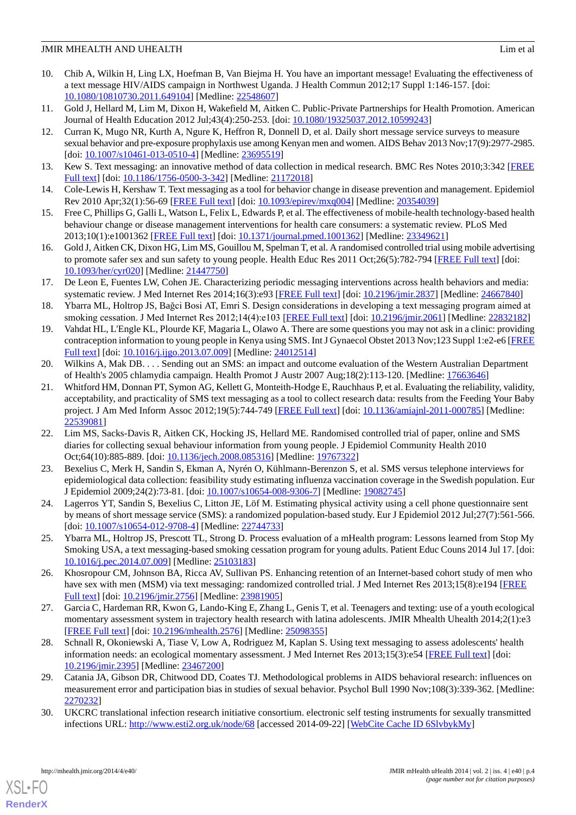### JMIR MHEALTH AND UHEALTH Lim et al

- <span id="page-3-0"></span>10. Chib A, Wilkin H, Ling LX, Hoefman B, Van Biejma H. You have an important message! Evaluating the effectiveness of a text message HIV/AIDS campaign in Northwest Uganda. J Health Commun 2012;17 Suppl 1:146-157. [doi: [10.1080/10810730.2011.649104\]](http://dx.doi.org/10.1080/10810730.2011.649104) [Medline: [22548607\]](http://www.ncbi.nlm.nih.gov/entrez/query.fcgi?cmd=Retrieve&db=PubMed&list_uids=22548607&dopt=Abstract)
- <span id="page-3-2"></span><span id="page-3-1"></span>11. Gold J, Hellard M, Lim M, Dixon H, Wakefield M, Aitken C. Public-Private Partnerships for Health Promotion. American Journal of Health Education 2012 Jul;43(4):250-253. [doi: [10.1080/19325037.2012.10599243\]](http://dx.doi.org/10.1080/19325037.2012.10599243)
- 12. Curran K, Mugo NR, Kurth A, Ngure K, Heffron R, Donnell D, et al. Daily short message service surveys to measure sexual behavior and pre-exposure prophylaxis use among Kenyan men and women. AIDS Behav 2013 Nov;17(9):2977-2985. [doi: <u>[10.1007/s10461-013-0510-4](http://dx.doi.org/10.1007/s10461-013-0510-4)</u>] [Medline: [23695519\]](http://www.ncbi.nlm.nih.gov/entrez/query.fcgi?cmd=Retrieve&db=PubMed&list_uids=23695519&dopt=Abstract)
- <span id="page-3-4"></span><span id="page-3-3"></span>13. Kew S. Text messaging: an innovative method of data collection in medical research. BMC Res Notes 2010;3:342 [[FREE](http://www.biomedcentral.com/1756-0500/3/342) [Full text\]](http://www.biomedcentral.com/1756-0500/3/342) [doi: [10.1186/1756-0500-3-342](http://dx.doi.org/10.1186/1756-0500-3-342)] [Medline: [21172018](http://www.ncbi.nlm.nih.gov/entrez/query.fcgi?cmd=Retrieve&db=PubMed&list_uids=21172018&dopt=Abstract)]
- <span id="page-3-7"></span>14. Cole-Lewis H, Kershaw T. Text messaging as a tool for behavior change in disease prevention and management. Epidemiol Rev 2010 Apr;32(1):56-69 [\[FREE Full text\]](http://europepmc.org/abstract/MED/20354039) [doi: [10.1093/epirev/mxq004](http://dx.doi.org/10.1093/epirev/mxq004)] [Medline: [20354039](http://www.ncbi.nlm.nih.gov/entrez/query.fcgi?cmd=Retrieve&db=PubMed&list_uids=20354039&dopt=Abstract)]
- 15. Free C, Phillips G, Galli L, Watson L, Felix L, Edwards P, et al. The effectiveness of mobile-health technology-based health behaviour change or disease management interventions for health care consumers: a systematic review. PLoS Med 2013;10(1):e1001362 [\[FREE Full text](http://dx.plos.org/10.1371/journal.pmed.1001362)] [doi: [10.1371/journal.pmed.1001362](http://dx.doi.org/10.1371/journal.pmed.1001362)] [Medline: [23349621](http://www.ncbi.nlm.nih.gov/entrez/query.fcgi?cmd=Retrieve&db=PubMed&list_uids=23349621&dopt=Abstract)]
- <span id="page-3-5"></span>16. Gold J, Aitken CK, Dixon HG, Lim MS, Gouillou M, Spelman T, et al. A randomised controlled trial using mobile advertising to promote safer sex and sun safety to young people. Health Educ Res 2011 Oct;26(5):782-794 [\[FREE Full text\]](http://her.oxfordjournals.org/cgi/pmidlookup?view=long&pmid=21447750) [doi: [10.1093/her/cyr020\]](http://dx.doi.org/10.1093/her/cyr020) [Medline: [21447750\]](http://www.ncbi.nlm.nih.gov/entrez/query.fcgi?cmd=Retrieve&db=PubMed&list_uids=21447750&dopt=Abstract)
- <span id="page-3-6"></span>17. De Leon E, Fuentes LW, Cohen JE. Characterizing periodic messaging interventions across health behaviors and media: systematic review. J Med Internet Res 2014;16(3):e93 [\[FREE Full text](http://www.jmir.org/2014/3/e93/)] [doi: [10.2196/jmir.2837\]](http://dx.doi.org/10.2196/jmir.2837) [Medline: [24667840](http://www.ncbi.nlm.nih.gov/entrez/query.fcgi?cmd=Retrieve&db=PubMed&list_uids=24667840&dopt=Abstract)]
- <span id="page-3-8"></span>18. Ybarra ML, Holtrop JS, Bağci Bosi AT, Emri S. Design considerations in developing a text messaging program aimed at smoking cessation. J Med Internet Res 2012;14(4):e103 [[FREE Full text](http://www.jmir.org/2012/4/e103/)] [doi: [10.2196/jmir.2061](http://dx.doi.org/10.2196/jmir.2061)] [Medline: [22832182](http://www.ncbi.nlm.nih.gov/entrez/query.fcgi?cmd=Retrieve&db=PubMed&list_uids=22832182&dopt=Abstract)]
- <span id="page-3-9"></span>19. Vahdat HL, L'Engle KL, Plourde KF, Magaria L, Olawo A. There are some questions you may not ask in a clinic: providing contraception information to young people in Kenya using SMS. Int J Gynaecol Obstet 2013 Nov;123 Suppl 1:e2-e6 [\[FREE](http://linkinghub.elsevier.com/retrieve/pii/S0020-7292(13)00382-2) [Full text\]](http://linkinghub.elsevier.com/retrieve/pii/S0020-7292(13)00382-2) [doi: [10.1016/j.ijgo.2013.07.009\]](http://dx.doi.org/10.1016/j.ijgo.2013.07.009) [Medline: [24012514\]](http://www.ncbi.nlm.nih.gov/entrez/query.fcgi?cmd=Retrieve&db=PubMed&list_uids=24012514&dopt=Abstract)
- <span id="page-3-10"></span>20. Wilkins A, Mak DB. . . . Sending out an SMS: an impact and outcome evaluation of the Western Australian Department of Health's 2005 chlamydia campaign. Health Promot J Austr 2007 Aug;18(2):113-120. [Medline: [17663646](http://www.ncbi.nlm.nih.gov/entrez/query.fcgi?cmd=Retrieve&db=PubMed&list_uids=17663646&dopt=Abstract)]
- <span id="page-3-12"></span>21. Whitford HM, Donnan PT, Symon AG, Kellett G, Monteith-Hodge E, Rauchhaus P, et al. Evaluating the reliability, validity, acceptability, and practicality of SMS text messaging as a tool to collect research data: results from the Feeding Your Baby project. J Am Med Inform Assoc 2012;19(5):744-749 [[FREE Full text](http://jamia.bmj.com/cgi/pmidlookup?view=long&pmid=22539081)] [doi: [10.1136/amiajnl-2011-000785](http://dx.doi.org/10.1136/amiajnl-2011-000785)] [Medline: [22539081](http://www.ncbi.nlm.nih.gov/entrez/query.fcgi?cmd=Retrieve&db=PubMed&list_uids=22539081&dopt=Abstract)]
- 22. Lim MS, Sacks-Davis R, Aitken CK, Hocking JS, Hellard ME. Randomised controlled trial of paper, online and SMS diaries for collecting sexual behaviour information from young people. J Epidemiol Community Health 2010 Oct;64(10):885-889. [doi: [10.1136/jech.2008.085316\]](http://dx.doi.org/10.1136/jech.2008.085316) [Medline: [19767322\]](http://www.ncbi.nlm.nih.gov/entrez/query.fcgi?cmd=Retrieve&db=PubMed&list_uids=19767322&dopt=Abstract)
- <span id="page-3-13"></span><span id="page-3-11"></span>23. Bexelius C, Merk H, Sandin S, Ekman A, Nyrén O, Kühlmann-Berenzon S, et al. SMS versus telephone interviews for epidemiological data collection: feasibility study estimating influenza vaccination coverage in the Swedish population. Eur J Epidemiol 2009;24(2):73-81. [doi: [10.1007/s10654-008-9306-7](http://dx.doi.org/10.1007/s10654-008-9306-7)] [Medline: [19082745\]](http://www.ncbi.nlm.nih.gov/entrez/query.fcgi?cmd=Retrieve&db=PubMed&list_uids=19082745&dopt=Abstract)
- <span id="page-3-14"></span>24. Lagerros YT, Sandin S, Bexelius C, Litton JE, Löf M. Estimating physical activity using a cell phone questionnaire sent by means of short message service (SMS): a randomized population-based study. Eur J Epidemiol 2012 Jul;27(7):561-566. [doi: [10.1007/s10654-012-9708-4](http://dx.doi.org/10.1007/s10654-012-9708-4)] [Medline: [22744733\]](http://www.ncbi.nlm.nih.gov/entrez/query.fcgi?cmd=Retrieve&db=PubMed&list_uids=22744733&dopt=Abstract)
- <span id="page-3-15"></span>25. Ybarra ML, Holtrop JS, Prescott TL, Strong D. Process evaluation of a mHealth program: Lessons learned from Stop My Smoking USA, a text messaging-based smoking cessation program for young adults. Patient Educ Couns 2014 Jul 17. [doi: [10.1016/j.pec.2014.07.009\]](http://dx.doi.org/10.1016/j.pec.2014.07.009) [Medline: [25103183](http://www.ncbi.nlm.nih.gov/entrez/query.fcgi?cmd=Retrieve&db=PubMed&list_uids=25103183&dopt=Abstract)]
- <span id="page-3-16"></span>26. Khosropour CM, Johnson BA, Ricca AV, Sullivan PS. Enhancing retention of an Internet-based cohort study of men who have sex with men (MSM) via text messaging: randomized controlled trial. J Med Internet Res 2013;15(8):e194 [[FREE](http://www.jmir.org/2013/8/e194/) [Full text\]](http://www.jmir.org/2013/8/e194/) [doi: [10.2196/jmir.2756](http://dx.doi.org/10.2196/jmir.2756)] [Medline: [23981905\]](http://www.ncbi.nlm.nih.gov/entrez/query.fcgi?cmd=Retrieve&db=PubMed&list_uids=23981905&dopt=Abstract)
- <span id="page-3-17"></span>27. Garcia C, Hardeman RR, Kwon G, Lando-King E, Zhang L, Genis T, et al. Teenagers and texting: use of a youth ecological momentary assessment system in trajectory health research with latina adolescents. JMIR Mhealth Uhealth 2014;2(1):e3 [[FREE Full text](http://mhealth.jmir.org/2014/1/e3/)] [doi: [10.2196/mhealth.2576\]](http://dx.doi.org/10.2196/mhealth.2576) [Medline: [25098355](http://www.ncbi.nlm.nih.gov/entrez/query.fcgi?cmd=Retrieve&db=PubMed&list_uids=25098355&dopt=Abstract)]
- <span id="page-3-18"></span>28. Schnall R, Okoniewski A, Tiase V, Low A, Rodriguez M, Kaplan S. Using text messaging to assess adolescents' health information needs: an ecological momentary assessment. J Med Internet Res 2013;15(3):e54 [\[FREE Full text\]](http://www.jmir.org/2013/3/e54/) [doi: [10.2196/jmir.2395](http://dx.doi.org/10.2196/jmir.2395)] [Medline: [23467200](http://www.ncbi.nlm.nih.gov/entrez/query.fcgi?cmd=Retrieve&db=PubMed&list_uids=23467200&dopt=Abstract)]
- 29. Catania JA, Gibson DR, Chitwood DD, Coates TJ. Methodological problems in AIDS behavioral research: influences on measurement error and participation bias in studies of sexual behavior. Psychol Bull 1990 Nov;108(3):339-362. [Medline: [2270232\]](http://www.ncbi.nlm.nih.gov/entrez/query.fcgi?cmd=Retrieve&db=PubMed&list_uids=2270232&dopt=Abstract)
- 30. UKCRC translational infection research initiative consortium. electronic self testing instruments for sexually transmitted infections URL: <http://www.esti2.org.uk/node/68> [accessed 2014-09-22] [\[WebCite Cache ID 6SlvbykMy](http://www.webcitation.org/6SlvbykMy)]

[XSL](http://www.w3.org/Style/XSL)•FO **[RenderX](http://www.renderx.com/)**